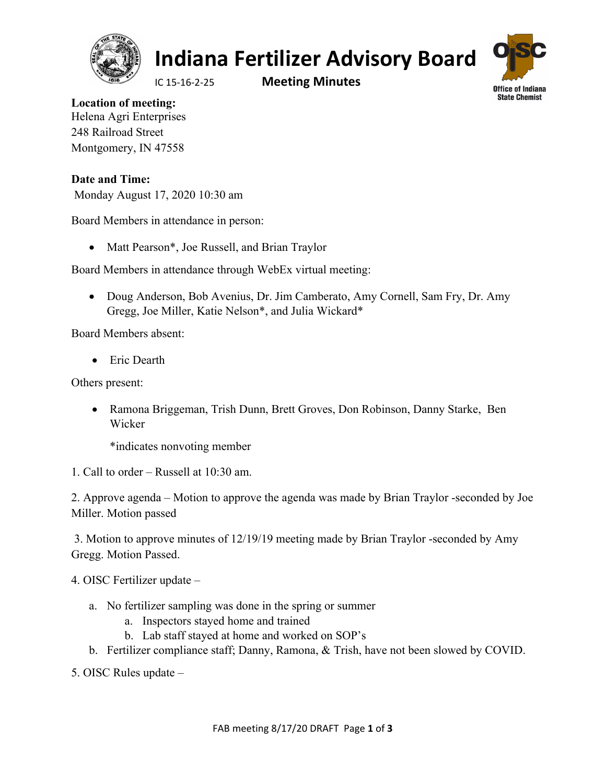

## **Indiana Fertilizer Advisory Board**

IC 15‐16‐2‐25 **Meeting Minutes**



**Location of meeting:**  Helena Agri Enterprises 248 Railroad Street Montgomery, IN 47558

**Date and Time:**  Monday August 17, 2020 10:30 am

Board Members in attendance in person:

• Matt Pearson\*, Joe Russell, and Brian Traylor

Board Members in attendance through WebEx virtual meeting:

 Doug Anderson, Bob Avenius, Dr. Jim Camberato, Amy Cornell, Sam Fry, Dr. Amy Gregg, Joe Miller, Katie Nelson\*, and Julia Wickard\*

Board Members absent:

• Eric Dearth

Others present:

 Ramona Briggeman, Trish Dunn, Brett Groves, Don Robinson, Danny Starke, Ben Wicker

\*indicates nonvoting member

1. Call to order – Russell at 10:30 am.

2. Approve agenda – Motion to approve the agenda was made by Brian Traylor -seconded by Joe Miller. Motion passed

 3. Motion to approve minutes of 12/19/19 meeting made by Brian Traylor -seconded by Amy Gregg. Motion Passed.

4. OISC Fertilizer update –

- a. No fertilizer sampling was done in the spring or summer
	- a. Inspectors stayed home and trained
	- b. Lab staff stayed at home and worked on SOP's
- b. Fertilizer compliance staff; Danny, Ramona, & Trish, have not been slowed by COVID.
- 5. OISC Rules update –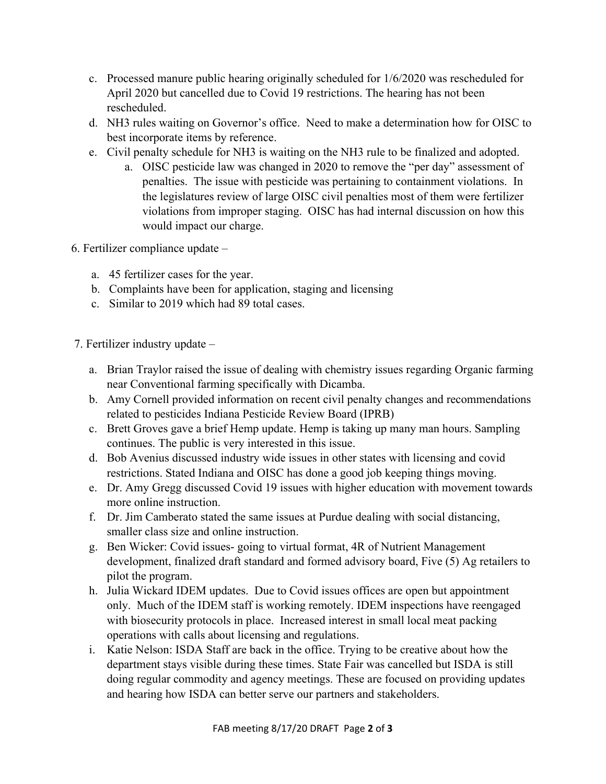- c. Processed manure public hearing originally scheduled for 1/6/2020 was rescheduled for April 2020 but cancelled due to Covid 19 restrictions. The hearing has not been rescheduled.
- d. NH3 rules waiting on Governor's office. Need to make a determination how for OISC to best incorporate items by reference.
- e. Civil penalty schedule for NH3 is waiting on the NH3 rule to be finalized and adopted.
	- a. OISC pesticide law was changed in 2020 to remove the "per day" assessment of penalties. The issue with pesticide was pertaining to containment violations. In the legislatures review of large OISC civil penalties most of them were fertilizer violations from improper staging. OISC has had internal discussion on how this would impact our charge.
- 6. Fertilizer compliance update
	- a. 45 fertilizer cases for the year.
	- b. Complaints have been for application, staging and licensing
	- c. Similar to 2019 which had 89 total cases.
- 7. Fertilizer industry update
	- a. Brian Traylor raised the issue of dealing with chemistry issues regarding Organic farming near Conventional farming specifically with Dicamba.
	- b. Amy Cornell provided information on recent civil penalty changes and recommendations related to pesticides Indiana Pesticide Review Board (IPRB)
	- c. Brett Groves gave a brief Hemp update. Hemp is taking up many man hours. Sampling continues. The public is very interested in this issue.
	- d. Bob Avenius discussed industry wide issues in other states with licensing and covid restrictions. Stated Indiana and OISC has done a good job keeping things moving.
	- e. Dr. Amy Gregg discussed Covid 19 issues with higher education with movement towards more online instruction.
	- f. Dr. Jim Camberato stated the same issues at Purdue dealing with social distancing, smaller class size and online instruction.
	- g. Ben Wicker: Covid issues- going to virtual format, 4R of Nutrient Management development, finalized draft standard and formed advisory board, Five (5) Ag retailers to pilot the program.
	- h. Julia Wickard IDEM updates. Due to Covid issues offices are open but appointment only. Much of the IDEM staff is working remotely. IDEM inspections have reengaged with biosecurity protocols in place. Increased interest in small local meat packing operations with calls about licensing and regulations.
	- i. Katie Nelson: ISDA Staff are back in the office. Trying to be creative about how the department stays visible during these times. State Fair was cancelled but ISDA is still doing regular commodity and agency meetings. These are focused on providing updates and hearing how ISDA can better serve our partners and stakeholders.